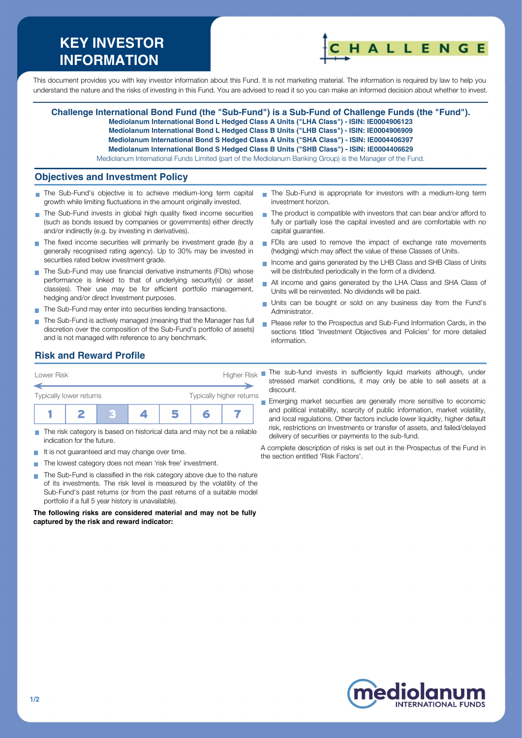# **KEY INVESTOR INFORMATION**



This document provides you with key investor information about this Fund. It is not marketing material. The information is required by law to help you understand the nature and the risks of investing in this Fund. You are advised to read it so you can make an informed decision about whether to invest.

**Challenge International Bond Fund (the "Sub-Fund") is a Sub-Fund of Challenge Funds (the "Fund"). Mediolanum International Bond L Hedged Class A Units ("LHA Class") - ISIN: IE0004906123 Mediolanum International Bond L Hedged Class B Units ("LHB Class") - ISIN: IE0004906909 Mediolanum International Bond S Hedged Class A Units ("SHA Class") - ISIN: IE0004406397 Mediolanum International Bond S Hedged Class B Units ("SHB Class") - ISIN: IE0004406629** Mediolanum International Funds Limited (part of the Mediolanum Banking Group) is the Manager of the Fund.

#### **Objectives and Investment Policy**

- The Sub-Fund's objective is to achieve medium-long term capital growth while limiting fluctuations in the amount originally invested.
- The Sub-Fund invests in global high quality fixed income securities (such as bonds issued by companies or governments) either directly and/or indirectly (e.g. by investing in derivatives).
- The fixed income securities will primarily be investment grade (by a generally recognised rating agency). Up to 30% may be invested in securities rated below investment grade.
- The Sub-Fund may use financial derivative instruments (FDIs) whose performance is linked to that of underlying security(s) or asset class(es). Their use may be for efficient portfolio management, hedging and/or direct Investment purposes.
- The Sub-Fund may enter into securities lending transactions.
- The Sub-Fund is actively managed (meaning that the Manager has full discretion over the composition of the Sub-Fund's portfolio of assets) and is not managed with reference to any benchmark.
- The Sub-Fund is appropriate for investors with a medium-long term investment horizon.
- $\blacksquare$  The product is compatible with investors that can bear and/or afford to fully or partially lose the capital invested and are comfortable with no capital guarantee.
- FDIs are used to remove the impact of exchange rate movements (hedging) which may affect the value of these Classes of Units.
- Income and gains generated by the LHB Class and SHB Class of Units will be distributed periodically in the form of a dividend.
- All income and gains generated by the LHA Class and SHA Class of  $\blacksquare$ Units will be reinvested. No dividends will be paid.
- Units can be bought or sold on any business day from the Fund's Administrator.
- **Please refer to the Prospectus and Sub-Fund Information Cards, in the** sections titled 'Investment Objectives and Policies' for more detailed information.

## **Risk and Reward Profile**

| Lower Risk              |  |  | <b>Higher Risk</b>       |  |  |  |  |
|-------------------------|--|--|--------------------------|--|--|--|--|
| Typically lower returns |  |  | Typically higher returns |  |  |  |  |
|                         |  |  |                          |  |  |  |  |

- The risk category is based on historical data and may not be a reliable indication for the future.
- $\blacksquare$  It is not guaranteed and may change over time.
- The lowest category does not mean 'risk free' investment.  $\sim$
- The Sub-Fund is classified in the risk category above due to the nature  $\sim$ of its investments. The risk level is measured by the volatility of the Sub-Fund's past returns (or from the past returns of a suitable model portfolio if a full 5 year history is unavailable).

**The following risks are considered material and may not be fully captured by the risk and reward indicator:**

The sub-fund invests in sufficiently liquid markets although, under stressed market conditions, it may only be able to sell assets at a discount.

**Emerging market securities are generally more sensitive to economic** and political instability, scarcity of public information, market volatility, and local regulations. Other factors include lower liquidity, higher default risk, restrictions on Investments or transfer of assets, and failed/delayed delivery of securities or payments to the sub-fund.

A complete description of risks is set out in the Prospectus of the Fund in the section entitled 'Risk Factors'.